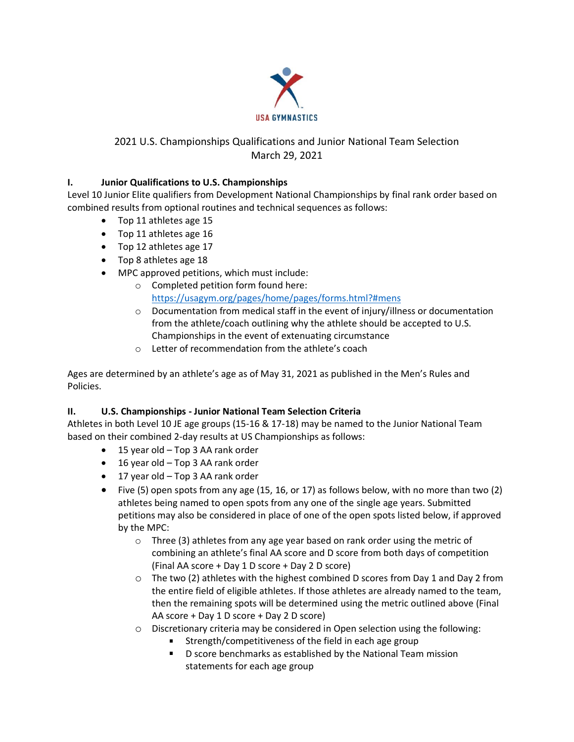

# 2021 U.S. Championships Qualifications and Junior National Team Selection March 29, 2021

### **I. Junior Qualifications to U.S. Championships**

Level 10 Junior Elite qualifiers from Development National Championships by final rank order based on combined results from optional routines and technical sequences as follows:

- Top 11 athletes age 15
- Top 11 athletes age 16
- Top 12 athletes age 17
- Top 8 athletes age 18
- MPC approved petitions, which must include:
	- o Completed petition form found here: <https://usagym.org/pages/home/pages/forms.html?#mens>
	- $\circ$  Documentation from medical staff in the event of injury/illness or documentation from the athlete/coach outlining why the athlete should be accepted to U.S. Championships in the event of extenuating circumstance
	- o Letter of recommendation from the athlete's coach

Ages are determined by an athlete's age as of May 31, 2021 as published in the Men's Rules and Policies.

# **II. U.S. Championships - Junior National Team Selection Criteria**

Athletes in both Level 10 JE age groups (15-16 & 17-18) may be named to the Junior National Team based on their combined 2-day results at US Championships as follows:

- 15 year old Top 3 AA rank order
- 16 year old Top 3 AA rank order
- 17 year old Top 3 AA rank order
- Five (5) open spots from any age (15, 16, or 17) as follows below, with no more than two (2) athletes being named to open spots from any one of the single age years. Submitted petitions may also be considered in place of one of the open spots listed below, if approved by the MPC:
	- o Three (3) athletes from any age year based on rank order using the metric of combining an athlete's final AA score and D score from both days of competition (Final AA score + Day 1 D score + Day 2 D score)
	- $\circ$  The two (2) athletes with the highest combined D scores from Day 1 and Day 2 from the entire field of eligible athletes. If those athletes are already named to the team, then the remaining spots will be determined using the metric outlined above (Final AA score + Day 1 D score + Day 2 D score)
	- o Discretionary criteria may be considered in Open selection using the following:
		- **Strength/competitiveness of the field in each age group**
		- D score benchmarks as established by the National Team mission statements for each age group